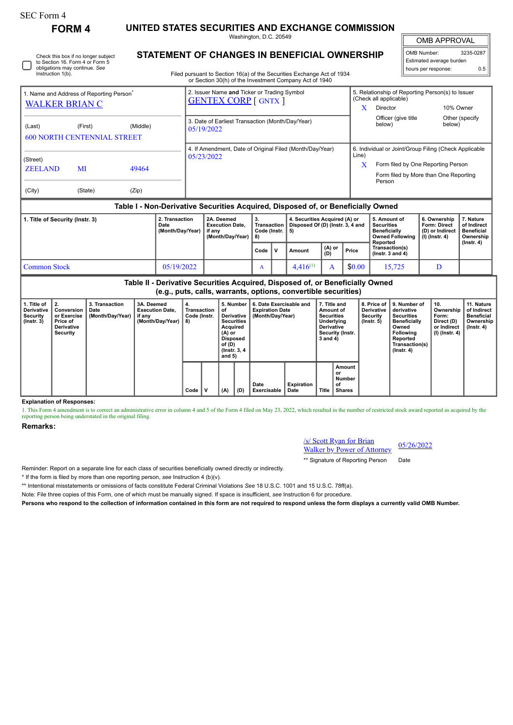Instruction 1(b).

Check this box if no longer subject to Section 16. Form 4 or Form 5 obligations may continue. *See*

**FORM 4 UNITED STATES SECURITIES AND EXCHANGE COMMISSION** Washington, D.C. 20549

OMB APPROVAL

 $\mathbb{I}$ 

| OMB Number:              | 3235-0287 |
|--------------------------|-----------|
| Estimated average burden |           |
| hours per response:      | ሰ 5       |

**STATEMENT OF CHANGES IN BENEFICIAL OWNERSHIP**

Filed pursuant to Section 16(a) of the Securities Exchange Act of 1934 or Section 30(h) of the Investment Company Act of 1940

| 1. Name and Address of Reporting Person <sup>®</sup><br><b>WALKER BRIAN C</b>    |         |          | 2. Issuer Name and Ticker or Trading Symbol<br><b>GENTEX CORP</b> [ GNTX ] |            | 5. Relationship of Reporting Person(s) to Issuer<br>(Check all applicable)                                                                     |                                       |  |
|----------------------------------------------------------------------------------|---------|----------|----------------------------------------------------------------------------|------------|------------------------------------------------------------------------------------------------------------------------------------------------|---------------------------------------|--|
| (Last)<br><b>600 NORTH CENTENNIAL STREET</b>                                     | (First) | (Middle) | 3. Date of Earliest Transaction (Month/Day/Year)<br>05/19/2022             | x          | <b>Director</b><br>Officer (give title<br>below)                                                                                               | 10% Owner<br>Other (specify<br>below) |  |
| (Street)<br><b>ZEELAND</b><br>MI<br>49464<br>(City)<br>(State)<br>(Zip)          |         |          | 4. If Amendment, Date of Original Filed (Month/Day/Year)<br>05/23/2022     | Line)<br>X | 6. Individual or Joint/Group Filing (Check Applicable<br>Form filed by One Reporting Person<br>Form filed by More than One Reporting<br>Person |                                       |  |
| Table I - Non-Derivative Securities Acquired, Disposed of, or Beneficially Owned |         |          |                                                                            |            |                                                                                                                                                |                                       |  |

| 1. Title of Security (Instr. 3) | 2. Transaction<br>Date<br>(Month/Dav/Year) | 2A. Deemed<br><b>Execution Date.</b><br>if anv<br>(Month/Dav/Year) | З.<br>Transaction  <br>Code (Instr.   5)<br>18) |     | 4. Securities Acquired (A) or<br>Disposed Of (D) (Instr. 3. 4 and |                 |        | 5. Amount of<br><b>Securities</b><br><b>Beneficially</b><br>Owned Following  <br>Reported | 6. Ownership<br>Form: Direct<br>(D) or Indirect<br>  (I) (Instr. 4) | . Nature<br>of Indirect<br>Beneficial<br>Ownership |
|---------------------------------|--------------------------------------------|--------------------------------------------------------------------|-------------------------------------------------|-----|-------------------------------------------------------------------|-----------------|--------|-------------------------------------------------------------------------------------------|---------------------------------------------------------------------|----------------------------------------------------|
|                                 |                                            |                                                                    | Code                                            | . V | Amount                                                            | $(A)$ or<br>(D) | Price  | Transaction(s)<br>$($ lnstr. 3 and 4 $)$                                                  |                                                                     | (Instr. 4)                                         |
| Common Stock                    | 05/19/2022                                 |                                                                    | A                                               |     | $4.416^{(1)}$                                                     |                 | \$0.00 | 15.725                                                                                    |                                                                     |                                                    |

**Table II - Derivative Securities Acquired, Disposed of, or Beneficially Owned (e.g., puts, calls, warrants, options, convertible securities)**

| 1. Title of<br><b>Derivative</b><br>Security<br>$($ lnstr. 3 $)$ | $\perp$ 2.<br>Conversion<br>or Exercise<br>Price of<br><b>Derivative</b><br>Security | 3. Transaction<br>Date<br>(Month/Day/Year) | 3A. Deemed<br><b>Execution Date.</b><br>if any<br>(Month/Day/Year) | ` 4.<br>Transaction<br>Code (Instr.<br>8) |   | οf<br>Acquired<br>(A) or<br><b>Disposed</b><br>of (D)<br>and $5)$ | 5. Number<br>Derivative  <br><b>Securities</b><br>(Instr. 3, 4) | 6. Date Exercisable and<br><b>Expiration Date</b><br>(Month/Day/Year) |                    | 7. Title and<br>Amount of<br><b>Securities</b><br>Underlying<br><b>Derivative</b><br>Security (Instr.<br>$3$ and $4)$ |                                        | 8. Price of<br><b>Derivative</b><br>Security<br>(Instr. 5) | 9. Number of<br>derivative<br><b>Securities</b><br><b>Beneficially</b><br>Owned<br>Following<br>Reported<br>Transaction(s)<br>(Instr. 4) | 10.<br>Ownership<br>Form:<br>Direct (D)<br>or Indirect<br>(I) (Instr. 4) | 11. Nature<br>of Indirect<br><b>Beneficial</b><br>Ownership<br>(Instr. 4) |
|------------------------------------------------------------------|--------------------------------------------------------------------------------------|--------------------------------------------|--------------------------------------------------------------------|-------------------------------------------|---|-------------------------------------------------------------------|-----------------------------------------------------------------|-----------------------------------------------------------------------|--------------------|-----------------------------------------------------------------------------------------------------------------------|----------------------------------------|------------------------------------------------------------|------------------------------------------------------------------------------------------------------------------------------------------|--------------------------------------------------------------------------|---------------------------------------------------------------------------|
|                                                                  |                                                                                      |                                            |                                                                    | Code                                      | v | (A)                                                               | (D)                                                             | Date<br>Exercisable                                                   | Expiration<br>Date | <b>Title</b>                                                                                                          | Amount<br>or<br>Number<br>of<br>Shares |                                                            |                                                                                                                                          |                                                                          |                                                                           |

**Explanation of Responses:**

1. This Form 4 amendment is to correct an administrative error in column 4 and 5 of the Form 4 filed on May 23, 2022, which resulted in the number of restricted stock award reported as acquired by the reporting person being understated in the original filing.

## **Remarks:**

| <b><i><u>/s/ Scott Ryan for Brian</u></i></b> | 05/26/2022 |
|-----------------------------------------------|------------|
| <b>Walker by Power of Attorney</b>            |            |

\*\* Signature of Reporting Person Date

Reminder: Report on a separate line for each class of securities beneficially owned directly or indirectly.

\* If the form is filed by more than one reporting person, *see* Instruction 4 (b)(v).

\*\* Intentional misstatements or omissions of facts constitute Federal Criminal Violations *See* 18 U.S.C. 1001 and 15 U.S.C. 78ff(a).

Note: File three copies of this Form, one of which must be manually signed. If space is insufficient, *see* Instruction 6 for procedure.

**Persons who respond to the collection of information contained in this form are not required to respond unless the form displays a currently valid OMB Number.**